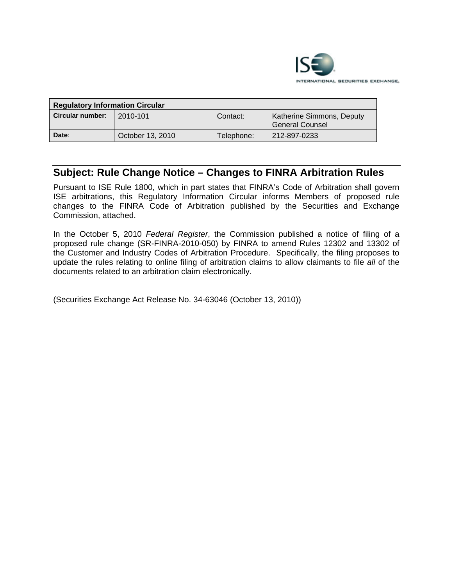

| <b>Regulatory Information Circular</b> |                  |            |                                              |
|----------------------------------------|------------------|------------|----------------------------------------------|
| Circular number:                       | 2010-101         | Contact:   | Katherine Simmons, Deputy<br>General Counsel |
| Date:                                  | October 13, 2010 | Telephone: | 212-897-0233                                 |

# **Subject: Rule Change Notice – Changes to FINRA Arbitration Rules**

Pursuant to ISE Rule 1800, which in part states that FINRA's Code of Arbitration shall govern ISE arbitrations, this Regulatory Information Circular informs Members of proposed rule changes to the FINRA Code of Arbitration published by the Securities and Exchange Commission, attached.

In the October 5, 2010 *Federal Register*, the Commission published a notice of filing of a proposed rule change (SR-FINRA-2010-050) by FINRA to amend Rules 12302 and 13302 of the Customer and Industry Codes of Arbitration Procedure. Specifically, the filing proposes to update the rules relating to online filing of arbitration claims to allow claimants to file *all* of the documents related to an arbitration claim electronically.

(Securities Exchange Act Release No. 34-63046 (October 13, 2010))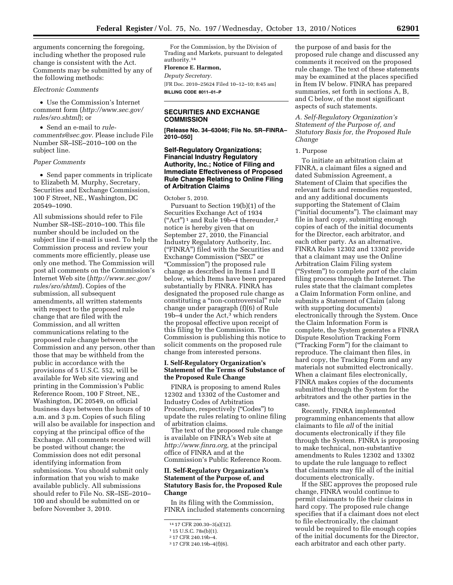arguments concerning the foregoing, including whether the proposed rule change is consistent with the Act. Comments may be submitted by any of the following methods:

## *Electronic Comments*

• Use the Commission's Internet comment form (*[http://www.sec.gov/](http://www.sec.gov/rules/sro.shtml)  [rules/sro.shtml](http://www.sec.gov/rules/sro.shtml)*); or

• Send an e-mail to *[rule](mailto:rule-comments@sec.gov)[comments@sec.gov.](mailto:rule-comments@sec.gov)* Please include File Number SR–ISE–2010–100 on the subject line.

#### *Paper Comments*

• Send paper comments in triplicate to Elizabeth M. Murphy, Secretary, Securities and Exchange Commission, 100 F Street, NE., Washington, DC 20549–1090.

All submissions should refer to File Number SR–ISE–2010–100. This file number should be included on the subject line if e-mail is used. To help the Commission process and review your comments more efficiently, please use only one method. The Commission will post all comments on the Commission's Internet Web site (*[http://www.sec.gov/](http://www.sec.gov/rules/sro/shtml)  [rules/sro/shtml](http://www.sec.gov/rules/sro/shtml)*). Copies of the submission, all subsequent amendments, all written statements with respect to the proposed rule change that are filed with the Commission, and all written communications relating to the proposed rule change between the Commission and any person, other than those that may be withheld from the public in accordance with the provisions of 5 U.S.C. 552, will be available for Web site viewing and printing in the Commission's Public Reference Room, 100 F Street, NE., Washington, DC 20549, on official business days between the hours of 10 a.m. and 3 p.m. Copies of such filing will also be available for inspection and copying at the principal office of the Exchange. All comments received will be posted without change; the Commission does not edit personal identifying information from submissions. You should submit only information that you wish to make available publicly. All submissions should refer to File No. SR–ISE–2010– 100 and should be submitted on or before November 3, 2010.

For the Commission, by the Division of Trading and Markets, pursuant to delegated authority.14

## **Florence E. Harmon,**

*Deputy Secretary.* 

[FR Doc. 2010–25624 Filed 10–12–10; 8:45 am] **BILLING CODE 8011–01–P** 

#### **SECURITIES AND EXCHANGE COMMISSION**

**[Release No. 34–63046; File No. SR–FINRA– 2010–050]** 

## **Self-Regulatory Organizations; Financial Industry Regulatory Authority, Inc.; Notice of Filing and Immediate Effectiveness of Proposed Rule Change Relating to Online Filing of Arbitration Claims**

#### October 5, 2010.

Pursuant to Section 19(b)(1) of the Securities Exchange Act of 1934  $("Act")^1$  and Rule 19b-4 thereunder,<sup>2</sup> notice is hereby given that on September 27, 2010, the Financial Industry Regulatory Authority, Inc. (''FINRA'') filed with the Securities and Exchange Commission (''SEC'' or ''Commission'') the proposed rule change as described in Items I and II below, which Items have been prepared substantially by FINRA. FINRA has designated the proposed rule change as constituting a ''non-controversial'' rule change under paragraph (f)(6) of Rule 19b–4 under the Act,3 which renders the proposal effective upon receipt of this filing by the Commission. The Commission is publishing this notice to solicit comments on the proposed rule change from interested persons.

#### **I. Self-Regulatory Organization's Statement of the Terms of Substance of the Proposed Rule Change**

FINRA is proposing to amend Rules 12302 and 13302 of the Customer and Industry Codes of Arbitration Procedure, respectively ("Codes") to update the rules relating to online filing of arbitration claims.

The text of the proposed rule change is available on FINRA's Web site at *[http://www.finra.org,](http://www.finra.org)* at the principal office of FINRA and at the Commission's Public Reference Room.

## **II. Self-Regulatory Organization's Statement of the Purpose of, and Statutory Basis for, the Proposed Rule Change**

In its filing with the Commission, FINRA included statements concerning

the purpose of and basis for the proposed rule change and discussed any comments it received on the proposed rule change. The text of these statements may be examined at the places specified in Item IV below. FINRA has prepared summaries, set forth in sections A, B, and C below, of the most significant aspects of such statements.

*A. Self-Regulatory Organization's Statement of the Purpose of, and Statutory Basis for, the Proposed Rule Change* 

#### 1. Purpose

To initiate an arbitration claim at FINRA, a claimant files a signed and dated Submission Agreement, a Statement of Claim that specifies the relevant facts and remedies requested, and any additional documents supporting the Statement of Claim (''initial documents''). The claimant may file in hard copy, submitting enough copies of each of the initial documents for the Director, each arbitrator, and each other party. As an alternative, FINRA Rules 12302 and 13302 provide that a claimant may use the Online Arbitration Claim Filing system (''System'') to complete *part* of the claim filing process through the Internet. The rules state that the claimant completes a Claim Information Form online, and submits a Statement of Claim (along with supporting documents) electronically through the System. Once the Claim Information Form is complete, the System generates a FINRA Dispute Resolution Tracking Form (''Tracking Form'') for the claimant to reproduce. The claimant then files, in hard copy, the Tracking Form and any materials not submitted electronically. When a claimant files electronically, FINRA makes copies of the documents submitted through the System for the arbitrators and the other parties in the case.

Recently, FINRA implemented programming enhancements that allow claimants to file *all* of the initial documents electronically if they file through the System. FINRA is proposing to make technical, non-substantive amendments to Rules 12302 and 13302 to update the rule language to reflect that claimants may file all of the initial documents electronically.

If the SEC approves the proposed rule change, FINRA would continue to permit claimants to file their claims in hard copy. The proposed rule change specifies that if a claimant does not elect to file electronically, the claimant would be required to file enough copies of the initial documents for the Director, each arbitrator and each other party.

<sup>14</sup> 17 CFR 200.30–3(a)(12). 1 15 U.S.C. 78s(b)(1).

<sup>2</sup> 17 CFR 240.19b–4.

<sup>3</sup> 17 CFR 240.19b–4(f)(6).